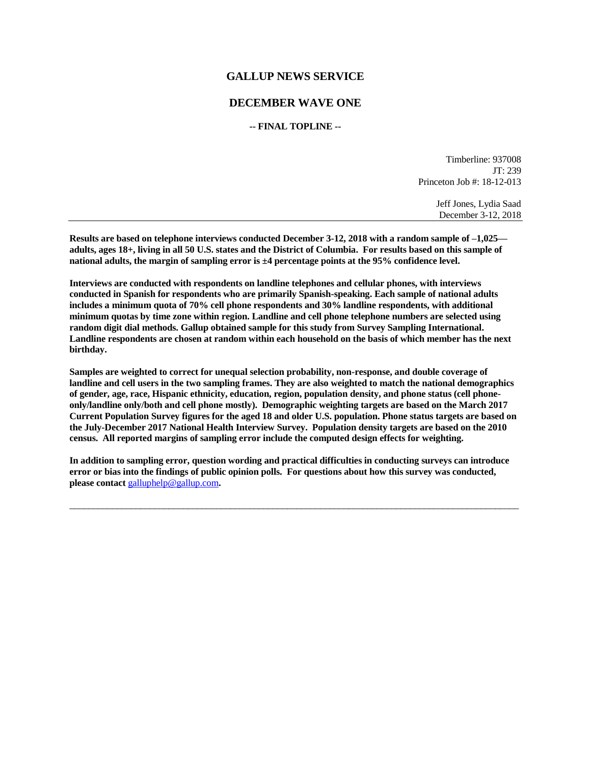#### **GALLUP NEWS SERVICE**

#### **DECEMBER WAVE ONE**

#### **-- FINAL TOPLINE --**

Timberline: 937008 JT: 239 Princeton Job #: 18-12-013

> Jeff Jones, Lydia Saad December 3-12, 2018

**Results are based on telephone interviews conducted December 3-12, 2018 with a random sample of –1,025 adults, ages 18+, living in all 50 U.S. states and the District of Columbia. For results based on this sample of national adults, the margin of sampling error is ±4 percentage points at the 95% confidence level.** 

**Interviews are conducted with respondents on landline telephones and cellular phones, with interviews conducted in Spanish for respondents who are primarily Spanish-speaking. Each sample of national adults includes a minimum quota of 70% cell phone respondents and 30% landline respondents, with additional minimum quotas by time zone within region. Landline and cell phone telephone numbers are selected using random digit dial methods. Gallup obtained sample for this study from Survey Sampling International. Landline respondents are chosen at random within each household on the basis of which member has the next birthday.**

**Samples are weighted to correct for unequal selection probability, non-response, and double coverage of landline and cell users in the two sampling frames. They are also weighted to match the national demographics of gender, age, race, Hispanic ethnicity, education, region, population density, and phone status (cell phoneonly/landline only/both and cell phone mostly). Demographic weighting targets are based on the March 2017 Current Population Survey figures for the aged 18 and older U.S. population. Phone status targets are based on the July-December 2017 National Health Interview Survey. Population density targets are based on the 2010 census. All reported margins of sampling error include the computed design effects for weighting.** 

**In addition to sampling error, question wording and practical difficulties in conducting surveys can introduce error or bias into the findings of public opinion polls. For questions about how this survey was conducted, please contact** [galluphelp@gallup.com](mailto:galluphelp@gallup.com)**.**

 $\overline{\phantom{a}}$  ,  $\overline{\phantom{a}}$  ,  $\overline{\phantom{a}}$  ,  $\overline{\phantom{a}}$  ,  $\overline{\phantom{a}}$  ,  $\overline{\phantom{a}}$  ,  $\overline{\phantom{a}}$  ,  $\overline{\phantom{a}}$  ,  $\overline{\phantom{a}}$  ,  $\overline{\phantom{a}}$  ,  $\overline{\phantom{a}}$  ,  $\overline{\phantom{a}}$  ,  $\overline{\phantom{a}}$  ,  $\overline{\phantom{a}}$  ,  $\overline{\phantom{a}}$  ,  $\overline{\phantom{a}}$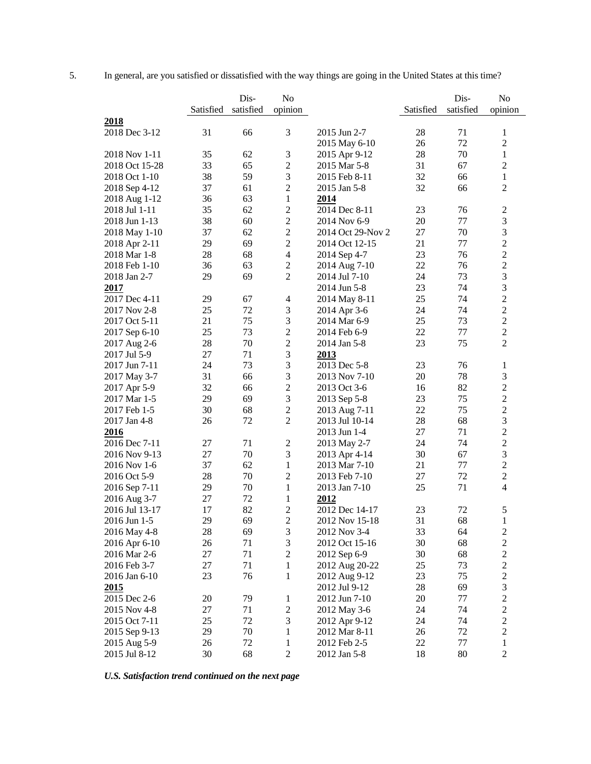|                |           | Dis-      | No             |                   |           | Dis-      | No                          |
|----------------|-----------|-----------|----------------|-------------------|-----------|-----------|-----------------------------|
|                | Satisfied | satisfied | opinion        |                   | Satisfied | satisfied | opinion                     |
| 2018           |           |           |                |                   |           |           |                             |
| 2018 Dec 3-12  | 31        | 66        | 3              | 2015 Jun 2-7      | 28        | 71        | $\mathbf{1}$                |
|                |           |           |                | 2015 May 6-10     | 26        | 72        | $\overline{2}$              |
| 2018 Nov 1-11  | 35        | 62        | $\mathfrak 3$  | 2015 Apr 9-12     | 28        | 70        | $\mathbf{1}$                |
| 2018 Oct 15-28 | 33        | 65        | $\overline{2}$ | 2015 Mar 5-8      | 31        | 67        | $\overline{2}$              |
| 2018 Oct 1-10  | 38        | 59        | 3              | 2015 Feb 8-11     | 32        | 66        | $\mathbf{1}$                |
| 2018 Sep 4-12  | 37        | 61        | $\overline{c}$ | 2015 Jan 5-8      | 32        | 66        | $\overline{2}$              |
| 2018 Aug 1-12  | 36        | 63        | $\mathbf{1}$   | 2014              |           |           |                             |
| 2018 Jul 1-11  | 35        | 62        | $\overline{2}$ | 2014 Dec 8-11     | 23        | 76        | $\overline{c}$              |
| 2018 Jun 1-13  | 38        | 60        | $\overline{2}$ | 2014 Nov 6-9      | 20        | 77        | $\mathfrak{Z}$              |
| 2018 May 1-10  | 37        | 62        | $\sqrt{2}$     | 2014 Oct 29-Nov 2 | 27        | 70        | $\mathfrak{Z}$              |
| 2018 Apr 2-11  | 29        | 69        | $\overline{2}$ | 2014 Oct 12-15    | 21        | 77        | $\overline{2}$              |
| 2018 Mar 1-8   | 28        | 68        | $\overline{4}$ | 2014 Sep 4-7      | 23        | 76        | $\overline{c}$              |
| 2018 Feb 1-10  | 36        | 63        | $\overline{2}$ | 2014 Aug 7-10     | 22        | 76        | $\overline{c}$              |
| 2018 Jan 2-7   | 29        | 69        | $\overline{2}$ | 2014 Jul 7-10     | 24        | 73        | 3                           |
| 2017           |           |           |                | 2014 Jun 5-8      | 23        | 74        | $\mathfrak{Z}$              |
| 2017 Dec 4-11  | 29        | 67        | $\overline{4}$ | 2014 May 8-11     | 25        | 74        | $\overline{c}$              |
| 2017 Nov 2-8   | 25        | 72        | 3              | 2014 Apr 3-6      | 24        | 74        | $\overline{2}$              |
| 2017 Oct 5-11  | 21        | 75        | 3              | 2014 Mar 6-9      | 25        | 73        | $\sqrt{2}$                  |
| 2017 Sep 6-10  | 25        | 73        | $\overline{c}$ | 2014 Feb 6-9      | 22        | 77        | $\overline{c}$              |
| 2017 Aug 2-6   | 28        | 70        | $\overline{c}$ | 2014 Jan 5-8      | 23        | 75        | $\overline{2}$              |
| 2017 Jul 5-9   | 27        | 71        | $\mathfrak{Z}$ | 2013              |           |           |                             |
| 2017 Jun 7-11  | 24        | 73        | 3              | 2013 Dec 5-8      | 23        | 76        | $\mathbf{1}$                |
| 2017 May 3-7   | 31        | 66        | 3              | 2013 Nov 7-10     | 20        | 78        | 3                           |
| 2017 Apr 5-9   | 32        | 66        | $\overline{c}$ | 2013 Oct 3-6      | 16        | 82        | $\overline{c}$              |
| 2017 Mar 1-5   | 29        | 69        | $\mathfrak{Z}$ | 2013 Sep 5-8      | 23        | 75        | $\sqrt{2}$                  |
| 2017 Feb 1-5   | 30        | 68        | $\overline{2}$ | 2013 Aug 7-11     | 22        | 75        | $\overline{c}$              |
| 2017 Jan 4-8   | 26        | 72        | $\overline{2}$ | 2013 Jul 10-14    | 28        | 68        | $\mathfrak{Z}$              |
| 2016           |           |           |                | 2013 Jun 1-4      | 27        | 71        | $\overline{2}$              |
| 2016 Dec 7-11  | 27        | 71        | $\mathfrak{2}$ | 2013 May 2-7      | 24        | 74        | $\overline{2}$              |
| 2016 Nov 9-13  | 27        | 70        | 3              | 2013 Apr 4-14     | 30        | 67        | 3                           |
| 2016 Nov 1-6   | 37        | 62        | $\mathbf{1}$   | 2013 Mar 7-10     | 21        | 77        | $\overline{2}$              |
| 2016 Oct 5-9   | 28        | 70        | $\mathbf{2}$   | 2013 Feb 7-10     | 27        | 72        | $\overline{2}$              |
| 2016 Sep 7-11  | 29        | 70        | $\mathbf{1}$   | 2013 Jan 7-10     | 25        | 71        | $\overline{4}$              |
| 2016 Aug 3-7   | 27        | 72        | $\mathbf{1}$   | 2012              |           |           |                             |
| 2016 Jul 13-17 | 17        | 82        | $\overline{c}$ | 2012 Dec 14-17    | 23        | 72        | $\mathfrak s$               |
| 2016 Jun 1-5   | 29        | 69        | $\overline{2}$ | 2012 Nov 15-18    | 31        | 68        | $\mathbf{1}$                |
| 2016 May 4-8   | 28        | 69        | $\mathfrak 3$  | 2012 Nov 3-4      | 33        | 64        | $\sqrt{2}$                  |
| 2016 Apr 6-10  | 26        | 71        | 3              | 2012 Oct 15-16    | 30        | 68        | $\boldsymbol{2}$            |
| 2016 Mar 2-6   | 27        | 71        | $\overline{2}$ | 2012 Sep 6-9      | 30        | 68        | $\boldsymbol{2}$            |
| 2016 Feb 3-7   | 27        | 71        | 1              | 2012 Aug 20-22    | 25        | 73        | $\sqrt{2}$                  |
| 2016 Jan 6-10  | 23        | 76        | 1              | 2012 Aug 9-12     | 23        | 75        | $\sqrt{2}$                  |
| 2015           |           |           |                | 2012 Jul 9-12     | 28        | 69        | $\ensuremath{\mathfrak{Z}}$ |
| 2015 Dec 2-6   | 20        | 79        | 1              | 2012 Jun 7-10     | 20        | 77        | $\boldsymbol{2}$            |
| 2015 Nov 4-8   | 27        | 71        | $\mathbf{2}$   | 2012 May 3-6      | 24        | 74        | $\boldsymbol{2}$            |
| 2015 Oct 7-11  | $25\,$    | 72        | $\mathfrak{Z}$ | 2012 Apr 9-12     | 24        | 74        | $\boldsymbol{2}$            |
| 2015 Sep 9-13  | 29        | 70        | $\mathbf{1}$   | 2012 Mar 8-11     | 26        | 72        | $\sqrt{2}$                  |
| 2015 Aug 5-9   | $26\,$    | $72\,$    | 1              | 2012 Feb 2-5      | 22        | $77 \,$   | $\mathbf{1}$                |
| 2015 Jul 8-12  | 30        | 68        | $\overline{2}$ | 2012 Jan 5-8      | 18        | 80        | $\overline{2}$              |

5. In general, are you satisfied or dissatisfied with the way things are going in the United States at this time?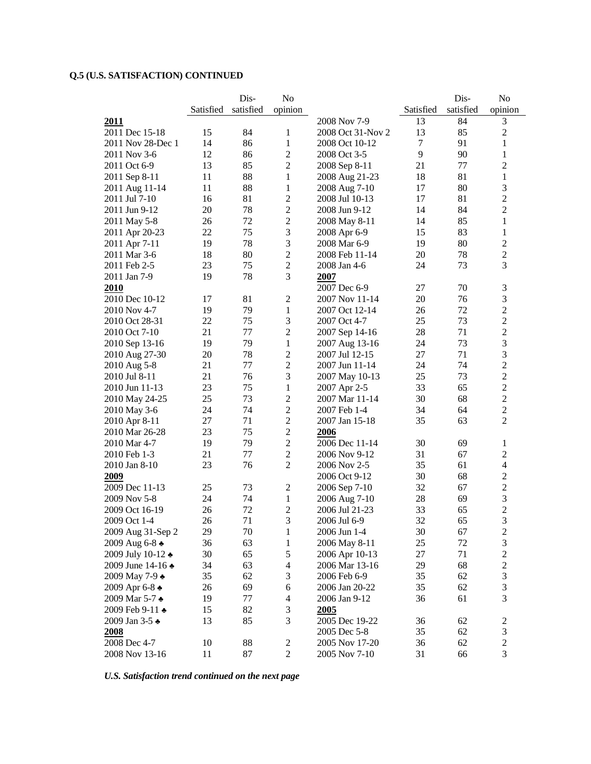|                      |           | Dis-      | N <sub>o</sub>           |                                  |           | Dis-      | N <sub>o</sub>                                     |
|----------------------|-----------|-----------|--------------------------|----------------------------------|-----------|-----------|----------------------------------------------------|
|                      | Satisfied | satisfied | opinion                  |                                  | Satisfied | satisfied | opinion                                            |
| 2011                 |           |           |                          | 2008 Nov 7-9                     | 13        | 84        | 3                                                  |
| 2011 Dec 15-18       | 15        | 84        | 1                        | 2008 Oct 31-Nov 2                | 13        | 85        | $\overline{c}$                                     |
| 2011 Nov 28-Dec 1    | 14        | 86        | $\mathbf{1}$             | 2008 Oct 10-12                   | $\tau$    | 91        | 1                                                  |
| 2011 Nov 3-6         | 12        | 86        | 2                        | 2008 Oct 3-5                     | 9         | 90        | 1                                                  |
| 2011 Oct 6-9         | 13        | 85        | 2                        | 2008 Sep 8-11                    | 21        | 77        | $\overline{c}$                                     |
| 2011 Sep 8-11        | 11        | 88        | 1                        | 2008 Aug 21-23                   | 18        | 81        | 1                                                  |
| 2011 Aug 11-14       | 11        | 88        | 1                        | 2008 Aug 7-10                    | 17        | 80        | 3                                                  |
| 2011 Jul 7-10        | 16        | 81        | $\overline{c}$           | 2008 Jul 10-13                   | 17        | 81        | $\overline{c}$                                     |
| 2011 Jun 9-12        | 20        | 78        | $\sqrt{2}$               | 2008 Jun 9-12                    | 14        | 84        | $\overline{c}$                                     |
| 2011 May 5-8         | 26        | 72        | $\overline{2}$           | 2008 May 8-11                    | 14        | 85        | $\mathbf{1}$                                       |
| 2011 Apr 20-23       | 22        | 75        | 3                        | 2008 Apr 6-9                     | 15        | 83        | 1                                                  |
| 2011 Apr 7-11        | 19        | 78        | 3                        | 2008 Mar 6-9                     | 19        | 80        | $\overline{c}$                                     |
| 2011 Mar 3-6         | 18        | 80        | 2                        | 2008 Feb 11-14                   | 20        | 78        | $\overline{2}$                                     |
| 2011 Feb 2-5         | 23        | 75        | 2                        | 2008 Jan 4-6                     | 24        | 73        | 3                                                  |
| 2011 Jan 7-9         | 19        | 78        | 3                        | 2007                             |           |           |                                                    |
| 2010                 |           |           |                          | 2007 Dec 6-9                     | 27        | 70        | 3                                                  |
| 2010 Dec 10-12       | 17        | 81        | $\mathfrak{2}$           | 2007 Nov 11-14                   | 20        | 76        | 3                                                  |
| 2010 Nov 4-7         | 19        | 79        | 1                        | 2007 Oct 12-14                   | 26        | 72        | $\overline{2}$                                     |
| 2010 Oct 28-31       | 22        | 75        | 3                        | 2007 Oct 4-7                     | 25        | 73        | $\overline{2}$                                     |
| 2010 Oct 7-10        | 21        | 77        | 2                        | 2007 Sep 14-16                   | 28        | 71        | $\overline{c}$                                     |
| 2010 Sep 13-16       | 19        | 79        | 1                        | 2007 Aug 13-16                   | 24        | 73        | $\mathfrak{Z}$                                     |
| 2010 Aug 27-30       | 20        | 78        | $\overline{c}$           | 2007 Jul 12-15                   | 27        | 71        | 3                                                  |
| 2010 Aug 5-8         | 21        | 77        | $\overline{2}$           | 2007 Jun 11-14                   | 24        | 74        | $\overline{c}$                                     |
| 2010 Jul 8-11        | 21        | 76        | 3                        | 2007 May 10-13                   | 25        | 73        | $\overline{c}$                                     |
| 2010 Jun 11-13       | 23        | 75        | $\mathbf{1}$             | 2007 Apr 2-5                     | 33        | 65        | $\overline{2}$                                     |
| 2010 May 24-25       | 25        | 73        | 2                        | 2007 Mar 11-14                   | 30        | 68        | $\overline{c}$                                     |
| 2010 May 3-6         | 24        | 74        | $\mathfrak 2$            | 2007 Feb 1-4                     | 34        | 64        | $\overline{2}$                                     |
| 2010 Apr 8-11        | 27        | 71        | 2                        | 2007 Jan 15-18                   | 35        | 63        | $\overline{c}$                                     |
| 2010 Mar 26-28       | 23        | 75        | $\overline{c}$           | 2006                             |           |           |                                                    |
| 2010 Mar 4-7         | 19        | 79        | $\overline{c}$           | 2006 Dec 11-14                   | 30        | 69        | 1                                                  |
| 2010 Feb 1-3         | 21        | 77        | 2                        | 2006 Nov 9-12                    | 31        | 67        | $\overline{c}$                                     |
| 2010 Jan 8-10        | 23        | 76        | 2                        | 2006 Nov 2-5                     | 35        | 61        | 4                                                  |
| 2009                 |           |           |                          | 2006 Oct 9-12                    | 30        | 68        | 2                                                  |
| 2009 Dec 11-13       | 25        | 73        | $\sqrt{2}$               | 2006 Sep 7-10                    | 32        | 67        | $\overline{2}$                                     |
| 2009 Nov 5-8         | 24        | 74        | $\mathbf{1}$             | 2006 Aug 7-10                    | 28        | 69        | 3                                                  |
| 2009 Oct 16-19       | 26        | 72        | 2                        | 2006 Jul 21-23                   | 33        | 65        | $\overline{2}$                                     |
| 2009 Oct 1-4         | 26        | 71        | 3                        | 2006 Jul 6-9                     | 32        | 65        | 3                                                  |
| 2009 Aug 31-Sep 2    | 29        | 70        | $\mathbf{1}$             | 2006 Jun 1-4                     | 30        | 67        | $\overline{\mathbf{c}}$                            |
| 2009 Aug 6-8 →       | 36        | 63        | 1                        | 2006 May 8-11                    | 25        | 72        | 3                                                  |
| 2009 July 10-12 ↑    | 30        | 65        | 5                        |                                  | 27        | 71        |                                                    |
| 2009 June 14-16 ↑    | 34        | 63        | 4                        | 2006 Apr 10-13<br>2006 Mar 13-16 | 29        | 68        | $\overline{\mathbf{c}}$<br>$\overline{\mathbf{c}}$ |
|                      | 35        | 62        |                          | 2006 Feb 6-9                     | 35        | 62        | 3                                                  |
| 2009 May 7-9 ↑       |           | 69        | 3                        |                                  | 35        |           |                                                    |
| 2009 Apr 6-8 ♣       | 26        |           | 6                        | 2006 Jan 20-22                   |           | 62        | 3<br>3                                             |
| 2009 Mar 5-7 ♣       | 19        | 77        | $\overline{\mathcal{A}}$ | 2006 Jan 9-12                    | 36        | 61        |                                                    |
| 2009 Feb 9-11 +      | 15        | 82        | 3                        | <u>2005</u>                      |           |           |                                                    |
| 2009 Jan 3-5 ♠       | 13        | 85        | 3                        | 2005 Dec 19-22                   | 36        | 62        | $\overline{c}$                                     |
| 2008<br>2008 Dec 4-7 |           |           |                          | 2005 Dec 5-8                     | 35        | 62        | 3                                                  |
|                      | 10        | 88        | $\overline{c}$           | 2005 Nov 17-20                   | 36        | 62        | $\boldsymbol{2}$                                   |
| 2008 Nov 13-16       | 11        | 87        | $\mathbf{2}$             | 2005 Nov 7-10                    | 31        | 66        | 3                                                  |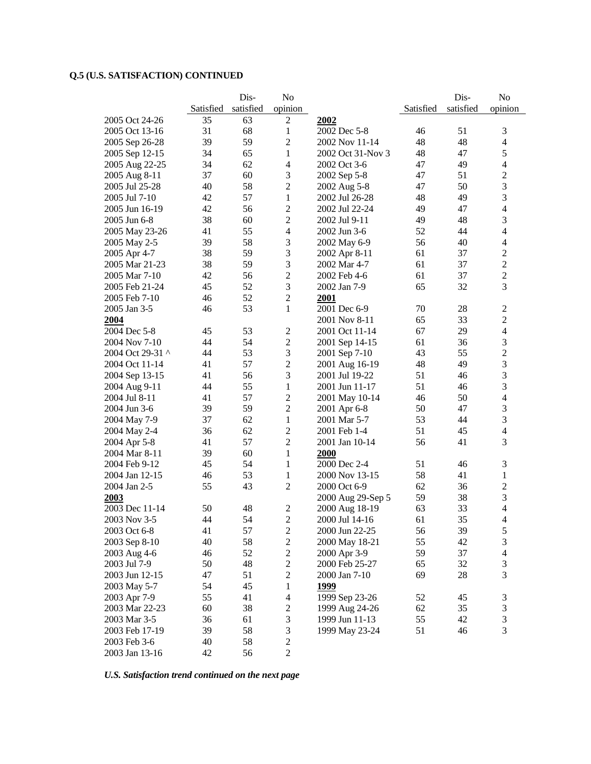|                  |           | Dis-      | No                       |                   |           | Dis-      | No                      |
|------------------|-----------|-----------|--------------------------|-------------------|-----------|-----------|-------------------------|
|                  | Satisfied | satisfied | opinion                  |                   | Satisfied | satisfied | opinion                 |
| 2005 Oct 24-26   | 35        | 63        | $\mathfrak{2}$           | 2002              |           |           |                         |
| 2005 Oct 13-16   | 31        | 68        | 1                        | 2002 Dec 5-8      | 46        | 51        | 3                       |
| 2005 Sep 26-28   | 39        | 59        | $\mathfrak{2}$           | 2002 Nov 11-14    | 48        | 48        | $\overline{4}$          |
| 2005 Sep 12-15   | 34        | 65        | $\mathbf{1}$             | 2002 Oct 31-Nov 3 | 48        | 47        | 5                       |
| 2005 Aug 22-25   | 34        | 62        | 4                        | 2002 Oct 3-6      | 47        | 49        | $\overline{4}$          |
| 2005 Aug 8-11    | 37        | 60        | 3                        | 2002 Sep 5-8      | 47        | 51        | $\overline{2}$          |
| 2005 Jul 25-28   | 40        | 58        | $\overline{2}$           | 2002 Aug 5-8      | 47        | 50        | 3                       |
| 2005 Jul 7-10    | 42        | 57        | 1                        | 2002 Jul 26-28    | 48        | 49        | 3                       |
| 2005 Jun 16-19   | 42        | 56        | $\boldsymbol{2}$         | 2002 Jul 22-24    | 49        | 47        | $\overline{4}$          |
| 2005 Jun 6-8     | 38        | 60        | $\sqrt{2}$               | 2002 Jul 9-11     | 49        | 48        | 3                       |
| 2005 May 23-26   | 41        | 55        | 4                        | 2002 Jun 3-6      | 52        | 44        | $\overline{4}$          |
| 2005 May 2-5     | 39        | 58        | 3                        | 2002 May 6-9      | 56        | 40        | 4                       |
| 2005 Apr 4-7     | 38        | 59        | 3                        | 2002 Apr 8-11     | 61        | 37        | $\overline{2}$          |
| 2005 Mar 21-23   | 38        | 59        | 3                        | 2002 Mar 4-7      | 61        | 37        | $\overline{c}$          |
| 2005 Mar 7-10    | 42        | 56        | $\sqrt{2}$               | 2002 Feb 4-6      | 61        | 37        | $\overline{c}$          |
| 2005 Feb 21-24   | 45        | 52        | 3                        | 2002 Jan 7-9      | 65        | 32        | 3                       |
| 2005 Feb 7-10    | 46        | 52        | $\sqrt{2}$               | 2001              |           |           |                         |
| 2005 Jan 3-5     | 46        | 53        | 1                        | 2001 Dec 6-9      | 70        | 28        | $\overline{2}$          |
| 2004             |           |           |                          | 2001 Nov 8-11     | 65        | 33        | $\overline{2}$          |
| 2004 Dec 5-8     | 45        | 53        | 2                        | 2001 Oct 11-14    | 67        | 29        | $\overline{4}$          |
| 2004 Nov 7-10    | 44        | 54        | $\boldsymbol{2}$         | 2001 Sep 14-15    | 61        | 36        | 3                       |
| 2004 Oct 29-31 ^ | 44        | 53        | 3                        | 2001 Sep 7-10     | 43        | 55        | $\overline{c}$          |
| 2004 Oct 11-14   | 41        | 57        | $\overline{2}$           | 2001 Aug 16-19    | 48        | 49        | 3                       |
| 2004 Sep 13-15   | 41        | 56        | 3                        | 2001 Jul 19-22    | 51        | 46        | 3                       |
| 2004 Aug 9-11    | 44        | 55        | $\mathbf{1}$             | 2001 Jun 11-17    | 51        | 46        | 3                       |
| 2004 Jul 8-11    | 41        | 57        | $\sqrt{2}$               | 2001 May 10-14    | 46        | 50        | $\overline{4}$          |
| 2004 Jun 3-6     | 39        | 59        | $\sqrt{2}$               | 2001 Apr 6-8      | 50        | 47        | 3                       |
| 2004 May 7-9     | 37        | 62        | $\mathbf{1}$             | 2001 Mar 5-7      | 53        | 44        | 3                       |
| 2004 May 2-4     | 36        | 62        | $\sqrt{2}$               | 2001 Feb 1-4      | 51        | 45        | $\overline{4}$          |
| 2004 Apr 5-8     | 41        | 57        | $\sqrt{2}$               | 2001 Jan 10-14    | 56        | 41        | 3                       |
| 2004 Mar 8-11    | 39        | 60        | $\mathbf{1}$             | 2000              |           |           |                         |
| 2004 Feb 9-12    | 45        | 54        | $\mathbf{1}$             | 2000 Dec 2-4      | 51        | 46        | 3                       |
| 2004 Jan 12-15   | 46        | 53        | $\mathbf{1}$             | 2000 Nov 13-15    | 58        | 41        | $\mathbf{1}$            |
| 2004 Jan 2-5     | 55        | 43        | $\mathbf{2}$             | 2000 Oct 6-9      | 62        | 36        | $\mathfrak{2}$          |
| 2003             |           |           |                          | 2000 Aug 29-Sep 5 | 59        | 38        | 3                       |
| 2003 Dec 11-14   | 50        | 48        | $\mathfrak 2$            | 2000 Aug 18-19    | 63        | 33        | $\overline{4}$          |
| 2003 Nov 3-5     | 44        | 54        | $\overline{2}$           | 2000 Jul 14-16    | 61        | 35        | 4                       |
| 2003 Oct 6-8     | 41        | 57        | $\mathbf{2}$             | 2000 Jun 22-25    | 56        | 39        | 5                       |
| 2003 Sep 8-10    | 40        | 58        | $\boldsymbol{2}$         | 2000 May 18-21    | 55        | 42        | 3                       |
| 2003 Aug 4-6     | 46        | 52        | $\boldsymbol{2}$         | 2000 Apr 3-9      | 59        | 37        | $\overline{\mathbf{4}}$ |
| 2003 Jul 7-9     | 50        | 48        | $\boldsymbol{2}$         | 2000 Feb 25-27    | 65        | 32        | $\mathfrak{Z}$          |
| 2003 Jun 12-15   | 47        | 51        | $\boldsymbol{2}$         | 2000 Jan 7-10     | 69        | 28        | 3                       |
| 2003 May 5-7     | 54        | 45        | 1                        | <u>1999</u>       |           |           |                         |
| 2003 Apr 7-9     | 55        | 41        | $\overline{\mathcal{A}}$ | 1999 Sep 23-26    | 52        | 45        | 3                       |
| 2003 Mar 22-23   | 60        | 38        | $\mathbf{2}$             | 1999 Aug 24-26    | 62        | 35        | $\mathfrak{Z}$          |
| 2003 Mar 3-5     | 36        | 61        | $\mathfrak{Z}$           | 1999 Jun 11-13    | 55        | 42        | $\mathfrak{Z}$          |
| 2003 Feb 17-19   | 39        | 58        | 3                        | 1999 May 23-24    | 51        | 46        | 3                       |
| 2003 Feb 3-6     | 40        | 58        | $\mathbf{2}$             |                   |           |           |                         |
| 2003 Jan 13-16   | 42        | 56        | $\boldsymbol{2}$         |                   |           |           |                         |
|                  |           |           |                          |                   |           |           |                         |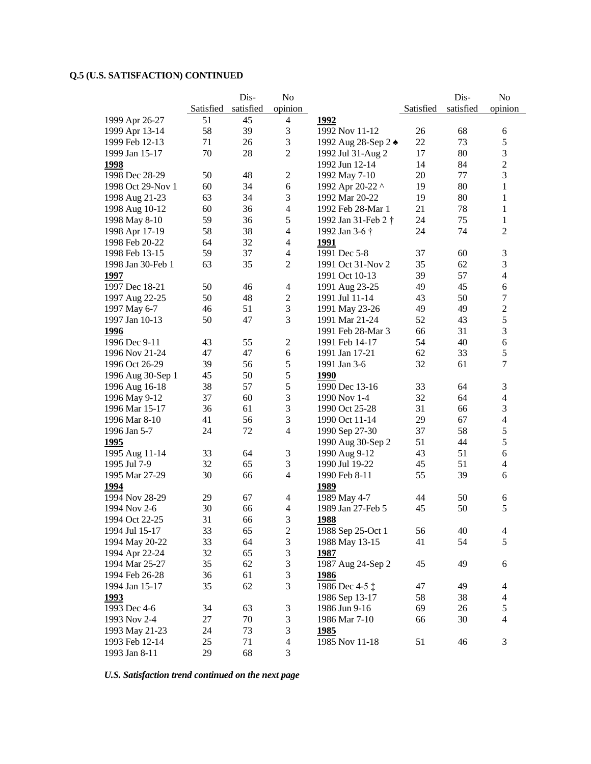|                   |           | Dis-      | N <sub>o</sub>           |                     |           | Dis-      | No               |
|-------------------|-----------|-----------|--------------------------|---------------------|-----------|-----------|------------------|
|                   | Satisfied | satisfied | opinion                  |                     | Satisfied | satisfied | opinion          |
| 1999 Apr 26-27    | 51        | 45        | $\overline{4}$           | 1992                |           |           |                  |
| 1999 Apr 13-14    | 58        | 39        | $\mathfrak{Z}$           | 1992 Nov 11-12      | 26        | 68        | 6                |
| 1999 Feb 12-13    | 71        | 26        | 3                        | 1992 Aug 28-Sep 2 ◆ | 22        | 73        | 5                |
| 1999 Jan 15-17    | 70        | 28        | $\overline{2}$           | 1992 Jul 31-Aug 2   | 17        | 80        | $\mathfrak{Z}$   |
| <b>1998</b>       |           |           |                          | 1992 Jun 12-14      | 14        | 84        | $\sqrt{2}$       |
| 1998 Dec 28-29    | 50        | 48        | $\overline{2}$           | 1992 May 7-10       | 20        | 77        | 3                |
| 1998 Oct 29-Nov 1 | 60        | 34        | 6                        | 1992 Apr 20-22 ^    | 19        | 80        | 1                |
| 1998 Aug 21-23    | 63        | 34        | $\mathfrak{Z}$           | 1992 Mar 20-22      | 19        | 80        | 1                |
| 1998 Aug 10-12    | 60        | 36        | $\overline{\mathcal{L}}$ | 1992 Feb 28-Mar 1   | 21        | 78        | 1                |
| 1998 May 8-10     | 59        | 36        | $\sqrt{5}$               | 1992 Jan 31-Feb 2 † | 24        | 75        | 1                |
| 1998 Apr 17-19    | 58        | 38        | $\overline{4}$           | 1992 Jan 3-6 †      | 24        | 74        | $\overline{2}$   |
| 1998 Feb 20-22    | 64        | 32        | $\overline{4}$           | <u>1991</u>         |           |           |                  |
| 1998 Feb 13-15    | 59        | 37        | $\overline{4}$           | 1991 Dec 5-8        | 37        | 60        | 3                |
| 1998 Jan 30-Feb 1 | 63        | 35        | $\overline{2}$           | 1991 Oct 31-Nov 2   | 35        | 62        | $\mathfrak{Z}$   |
| 1997              |           |           |                          | 1991 Oct 10-13      | 39        | 57        | $\overline{4}$   |
| 1997 Dec 18-21    | 50        | 46        | 4                        | 1991 Aug 23-25      | 49        | 45        | $\sqrt{6}$       |
| 1997 Aug 22-25    | 50        | 48        | $\boldsymbol{2}$         | 1991 Jul 11-14      | 43        | 50        | $\boldsymbol{7}$ |
| 1997 May 6-7      | 46        | 51        | 3                        | 1991 May 23-26      | 49        | 49        | $\sqrt{2}$       |
| 1997 Jan 10-13    | 50        | 47        | 3                        | 1991 Mar 21-24      | 52        | 43        | 5                |
| 1996              |           |           |                          | 1991 Feb 28-Mar 3   | 66        | 31        | $\mathfrak{Z}$   |
| 1996 Dec 9-11     | 43        | 55        | $\overline{2}$           | 1991 Feb 14-17      | 54        | 40        | 6                |
| 1996 Nov 21-24    | 47        | 47        | $6\,$                    | 1991 Jan 17-21      | 62        | 33        | $\mathfrak s$    |
| 1996 Oct 26-29    | 39        | 56        | 5                        | 1991 Jan 3-6        | 32        | 61        | $\tau$           |
| 1996 Aug 30-Sep 1 | 45        | 50        | 5                        | 1990                |           |           |                  |
| 1996 Aug 16-18    | 38        | 57        | 5                        | 1990 Dec 13-16      | 33        | 64        | 3                |
| 1996 May 9-12     | 37        | 60        | $\mathfrak{Z}$           | 1990 Nov 1-4        | 32        | 64        | $\overline{4}$   |
| 1996 Mar 15-17    | 36        | 61        | $\mathfrak{Z}$           | 1990 Oct 25-28      | 31        | 66        | $\mathfrak 3$    |
| 1996 Mar 8-10     | 41        | 56        | 3                        | 1990 Oct 11-14      | 29        | 67        | $\overline{4}$   |
| 1996 Jan 5-7      | 24        | 72        | $\overline{4}$           | 1990 Sep 27-30      | 37        | 58        | $\mathfrak s$    |
| 1995              |           |           |                          | 1990 Aug 30-Sep 2   | 51        | 44        | 5                |
| 1995 Aug 11-14    | 33        | 64        | 3                        | 1990 Aug 9-12       | 43        | 51        | 6                |
| 1995 Jul 7-9      | 32        | 65        | 3                        | 1990 Jul 19-22      | 45        | 51        | $\overline{4}$   |
| 1995 Mar 27-29    | 30        | 66        | $\overline{4}$           | 1990 Feb 8-11       | 55        | 39        | 6                |
| 1994              |           |           |                          | <u>1989</u>         |           |           |                  |
| 1994 Nov 28-29    | 29        | 67        | 4                        | 1989 May 4-7        | 44        | 50        | 6                |
| 1994 Nov 2-6      | 30        | 66        | $\overline{4}$           | 1989 Jan 27-Feb 5   | 45        | 50        | 5                |
| 1994 Oct 22-25    | 31        | 66        | 3                        | <u>1988</u>         |           |           |                  |
| 1994 Jul 15-17    | 33        | 65        | $\boldsymbol{2}$         | 1988 Sep 25-Oct 1   | 56        | 40        | $\overline{4}$   |
| 1994 May 20-22    | 33        | 64        | 3                        | 1988 May 13-15      | 41        | 54        | 5                |
| 1994 Apr 22-24    | 32        | 65        | $\mathfrak{Z}$           | 1987                |           |           |                  |
| 1994 Mar 25-27    | 35        | 62        | 3                        | 1987 Aug 24-Sep 2   | 45        | 49        | 6                |
| 1994 Feb 26-28    | 36        | 61        | 3                        | <u>1986</u>         |           |           |                  |
| 1994 Jan 15-17    | 35        | 62        | 3                        | 1986 Dec 4-5 ‡      | 47        | 49        | $\overline{4}$   |
| <u>1993</u>       |           |           |                          | 1986 Sep 13-17      | 58        | 38        | $\overline{4}$   |
| 1993 Dec 4-6      | 34        | 63        | 3                        | 1986 Jun 9-16       | 69        | 26        | $\mathfrak s$    |
| 1993 Nov 2-4      | 27        | 70        | $\mathfrak{Z}$           | 1986 Mar 7-10       | 66        | 30        | $\overline{4}$   |
| 1993 May 21-23    | 24        | 73        | $\mathfrak{Z}$           | <u>1985</u>         |           |           |                  |
| 1993 Feb 12-14    | 25        | 71        | $\overline{4}$           | 1985 Nov 11-18      | 51        | 46        | $\mathfrak{Z}$   |
| 1993 Jan 8-11     | 29        | 68        | 3                        |                     |           |           |                  |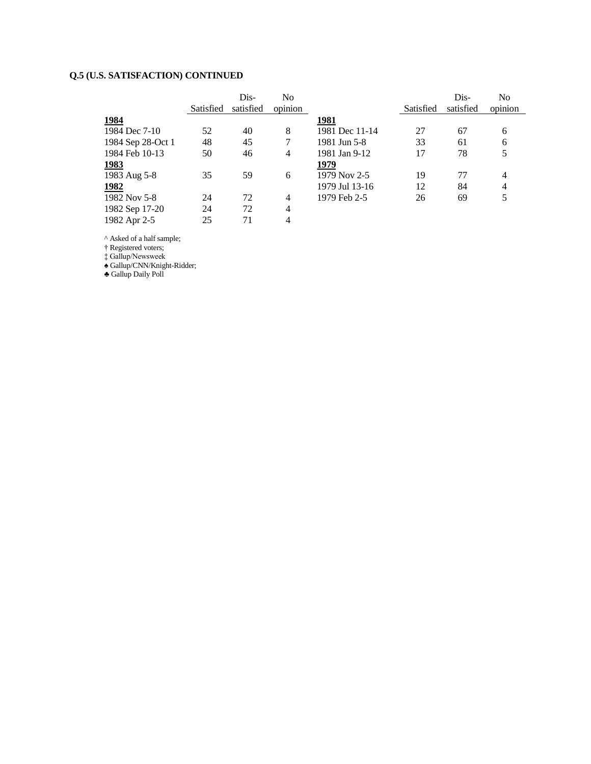|                   |           | Dis-      | No             |                |           | Dis-      | N <sub>0</sub> |
|-------------------|-----------|-----------|----------------|----------------|-----------|-----------|----------------|
|                   | Satisfied | satisfied | opinion        |                | Satisfied | satisfied | opinion        |
| 1984              |           |           |                | 1981           |           |           |                |
| 1984 Dec 7-10     | 52        | 40        | 8              | 1981 Dec 11-14 | 27        | 67        | 6              |
| 1984 Sep 28-Oct 1 | 48        | 45        | 7              | 1981 Jun 5-8   | 33        | 61        | 6              |
| 1984 Feb 10-13    | 50        | 46        | 4              | 1981 Jan 9-12  | 17        | 78        | 5              |
| <u>1983</u>       |           |           |                | 1979           |           |           |                |
| 1983 Aug 5-8      | 35        | 59        | 6              | 1979 Nov 2-5   | 19        | 77        | 4              |
| <u>1982</u>       |           |           |                | 1979 Jul 13-16 | 12        | 84        | 4              |
| 1982 Nov 5-8      | 24        | 72        | 4              | 1979 Feb 2-5   | 26        | 69        | 5              |
| 1982 Sep 17-20    | 24        | 72        | 4              |                |           |           |                |
| 1982 Apr 2-5      | 25        | 71        | $\overline{4}$ |                |           |           |                |

^ Asked of a half sample;

† Registered voters;

‡ Gallup/Newsweek

♠ Gallup/CNN/Knight-Ridder;

♣ Gallup Daily Poll